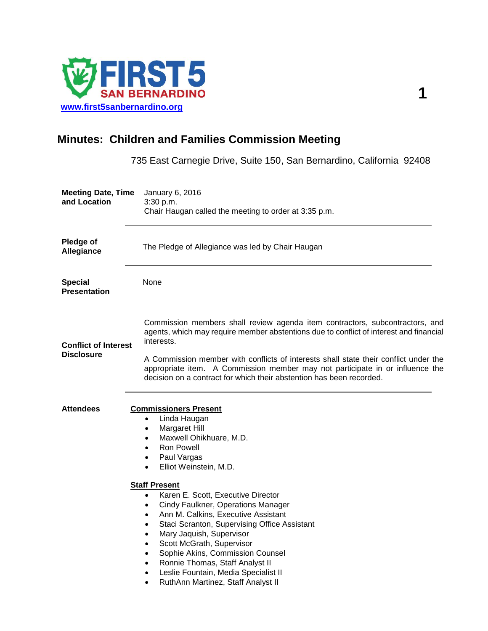

## **Minutes: Children and Families Commission Meeting**

735 East Carnegie Drive, Suite 150, San Bernardino, California 92408

| <b>Meeting Date, Time</b><br>and Location        | January 6, 2016<br>3:30 p.m.<br>Chair Haugan called the meeting to order at 3:35 p.m.                                                                                                                                                                                                                                                                                                                                                                                                                                                                                                                                                                                                                                                                           |
|--------------------------------------------------|-----------------------------------------------------------------------------------------------------------------------------------------------------------------------------------------------------------------------------------------------------------------------------------------------------------------------------------------------------------------------------------------------------------------------------------------------------------------------------------------------------------------------------------------------------------------------------------------------------------------------------------------------------------------------------------------------------------------------------------------------------------------|
| Pledge of<br>Allegiance                          | The Pledge of Allegiance was led by Chair Haugan                                                                                                                                                                                                                                                                                                                                                                                                                                                                                                                                                                                                                                                                                                                |
| <b>Special</b><br><b>Presentation</b>            | None                                                                                                                                                                                                                                                                                                                                                                                                                                                                                                                                                                                                                                                                                                                                                            |
| <b>Conflict of Interest</b><br><b>Disclosure</b> | Commission members shall review agenda item contractors, subcontractors, and<br>agents, which may require member abstentions due to conflict of interest and financial<br>interests.<br>A Commission member with conflicts of interests shall state their conflict under the<br>appropriate item. A Commission member may not participate in or influence the<br>decision on a contract for which their abstention has been recorded.                                                                                                                                                                                                                                                                                                                           |
| <b>Attendees</b>                                 | <b>Commissioners Present</b><br>Linda Haugan<br>$\bullet$<br>Margaret Hill<br>$\bullet$<br>Maxwell Ohikhuare, M.D.<br>$\bullet$<br><b>Ron Powell</b><br>$\bullet$<br>Paul Vargas<br>$\bullet$<br>Elliot Weinstein, M.D.<br>$\bullet$<br><b>Staff Present</b><br>Karen E. Scott, Executive Director<br>$\bullet$<br>Cindy Faulkner, Operations Manager<br>$\bullet$<br>Ann M. Calkins, Executive Assistant<br>$\bullet$<br>Staci Scranton, Supervising Office Assistant<br>$\bullet$<br>Mary Jaquish, Supervisor<br>$\bullet$<br>Scott McGrath, Supervisor<br>٠<br>Sophie Akins, Commission Counsel<br>$\bullet$<br>Ronnie Thomas, Staff Analyst II<br>$\bullet$<br>Leslie Fountain, Media Specialist II<br>٠<br>RuthAnn Martinez, Staff Analyst II<br>$\bullet$ |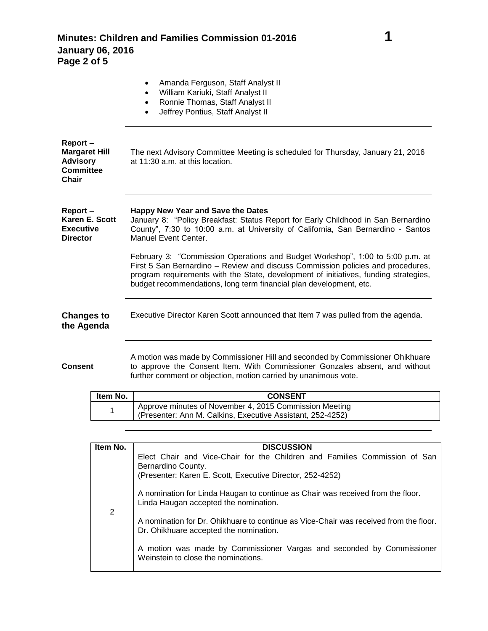|                                                                                 |          | Amanda Ferguson, Staff Analyst II<br>William Kariuki, Staff Analyst II<br>$\bullet$<br>Ronnie Thomas, Staff Analyst II<br>$\bullet$<br>Jeffrey Pontius, Staff Analyst II<br>$\bullet$                                                                                                                                          |
|---------------------------------------------------------------------------------|----------|--------------------------------------------------------------------------------------------------------------------------------------------------------------------------------------------------------------------------------------------------------------------------------------------------------------------------------|
| Report-<br><b>Margaret Hill</b><br><b>Advisory</b><br><b>Committee</b><br>Chair |          | The next Advisory Committee Meeting is scheduled for Thursday, January 21, 2016<br>at 11:30 a.m. at this location.                                                                                                                                                                                                             |
| Report-<br>Karen E. Scott<br><b>Executive</b><br><b>Director</b>                |          | <b>Happy New Year and Save the Dates</b><br>January 8: "Policy Breakfast: Status Report for Early Childhood in San Bernardino<br>County", 7:30 to 10:00 a.m. at University of California, San Bernardino - Santos<br>Manuel Event Center.                                                                                      |
|                                                                                 |          | February 3: "Commission Operations and Budget Workshop", 1:00 to 5:00 p.m. at<br>First 5 San Bernardino - Review and discuss Commission policies and procedures,<br>program requirements with the State, development of initiatives, funding strategies,<br>budget recommendations, long term financial plan development, etc. |
| <b>Changes to</b><br>the Agenda                                                 |          | Executive Director Karen Scott announced that Item 7 was pulled from the agenda.                                                                                                                                                                                                                                               |
| <b>Consent</b>                                                                  |          | A motion was made by Commissioner Hill and seconded by Commissioner Ohikhuare<br>to approve the Consent Item. With Commissioner Gonzales absent, and without<br>further comment or objection, motion carried by unanimous vote.                                                                                                |
|                                                                                 | Item No. | <b>CONSENT</b>                                                                                                                                                                                                                                                                                                                 |
|                                                                                 | 1        | Approve minutes of November 4, 2015 Commission Meeting<br>(Presenter: Ann M. Calkins, Executive Assistant, 252-4252)                                                                                                                                                                                                           |

| Item No. | <b>DISCUSSION</b>                                                                                                                                                                                                                                                                                                                                                                                                                                                                                                                            |
|----------|----------------------------------------------------------------------------------------------------------------------------------------------------------------------------------------------------------------------------------------------------------------------------------------------------------------------------------------------------------------------------------------------------------------------------------------------------------------------------------------------------------------------------------------------|
| 2        | Elect Chair and Vice-Chair for the Children and Families Commission of San<br>Bernardino County.<br>(Presenter: Karen E. Scott, Executive Director, 252-4252)<br>A nomination for Linda Haugan to continue as Chair was received from the floor.<br>Linda Haugan accepted the nomination.<br>A nomination for Dr. Ohikhuare to continue as Vice-Chair was received from the floor.<br>Dr. Ohikhuare accepted the nomination.<br>A motion was made by Commissioner Vargas and seconded by Commissioner<br>Weinstein to close the nominations. |
|          |                                                                                                                                                                                                                                                                                                                                                                                                                                                                                                                                              |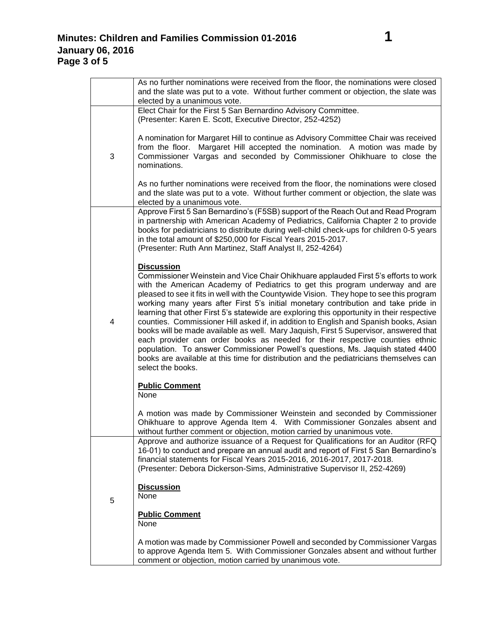|   | As no further nominations were received from the floor, the nominations were closed                                                                                      |
|---|--------------------------------------------------------------------------------------------------------------------------------------------------------------------------|
|   | and the slate was put to a vote. Without further comment or objection, the slate was                                                                                     |
|   | elected by a unanimous vote.<br>Elect Chair for the First 5 San Bernardino Advisory Committee.                                                                           |
|   | (Presenter: Karen E. Scott, Executive Director, 252-4252)                                                                                                                |
|   |                                                                                                                                                                          |
|   | A nomination for Margaret Hill to continue as Advisory Committee Chair was received                                                                                      |
|   | from the floor. Margaret Hill accepted the nomination. A motion was made by                                                                                              |
| 3 | Commissioner Vargas and seconded by Commissioner Ohikhuare to close the                                                                                                  |
|   | nominations.                                                                                                                                                             |
|   | As no further nominations were received from the floor, the nominations were closed                                                                                      |
|   | and the slate was put to a vote. Without further comment or objection, the slate was                                                                                     |
|   | elected by a unanimous vote.                                                                                                                                             |
|   | Approve First 5 San Bernardino's (F5SB) support of the Reach Out and Read Program                                                                                        |
|   | in partnership with American Academy of Pediatrics, California Chapter 2 to provide                                                                                      |
|   | books for pediatricians to distribute during well-child check-ups for children 0-5 years<br>in the total amount of \$250,000 for Fiscal Years 2015-2017.                 |
|   | (Presenter: Ruth Ann Martinez, Staff Analyst II, 252-4264)                                                                                                               |
|   |                                                                                                                                                                          |
|   | <b>Discussion</b>                                                                                                                                                        |
|   | Commissioner Weinstein and Vice Chair Ohikhuare applauded First 5's efforts to work                                                                                      |
|   | with the American Academy of Pediatrics to get this program underway and are<br>pleased to see it fits in well with the Countywide Vision. They hope to see this program |
|   | working many years after First 5's initial monetary contribution and take pride in                                                                                       |
|   | learning that other First 5's statewide are exploring this opportunity in their respective                                                                               |
| 4 | counties. Commissioner Hill asked if, in addition to English and Spanish books, Asian                                                                                    |
|   | books will be made available as well. Mary Jaquish, First 5 Supervisor, answered that                                                                                    |
|   | each provider can order books as needed for their respective counties ethnic<br>population. To answer Commissioner Powell's questions, Ms. Jaquish stated 4400           |
|   | books are available at this time for distribution and the pediatricians themselves can                                                                                   |
|   | select the books.                                                                                                                                                        |
|   |                                                                                                                                                                          |
|   | <b>Public Comment</b><br>None                                                                                                                                            |
|   |                                                                                                                                                                          |
|   | A motion was made by Commissioner Weinstein and seconded by Commissioner                                                                                                 |
|   | Ohikhuare to approve Agenda Item 4. With Commissioner Gonzales absent and                                                                                                |
|   | without further comment or objection, motion carried by unanimous vote.                                                                                                  |
|   | Approve and authorize issuance of a Request for Qualifications for an Auditor (RFQ                                                                                       |
|   | 16-01) to conduct and prepare an annual audit and report of First 5 San Bernardino's<br>financial statements for Fiscal Years 2015-2016, 2016-2017, 2017-2018.           |
|   | (Presenter: Debora Dickerson-Sims, Administrative Supervisor II, 252-4269)                                                                                               |
|   |                                                                                                                                                                          |
|   | <b>Discussion</b>                                                                                                                                                        |
| 5 | None                                                                                                                                                                     |
|   | <b>Public Comment</b>                                                                                                                                                    |
|   | None                                                                                                                                                                     |
|   |                                                                                                                                                                          |
|   | A motion was made by Commissioner Powell and seconded by Commissioner Vargas                                                                                             |
|   | to approve Agenda Item 5. With Commissioner Gonzales absent and without further                                                                                          |
|   | comment or objection, motion carried by unanimous vote.                                                                                                                  |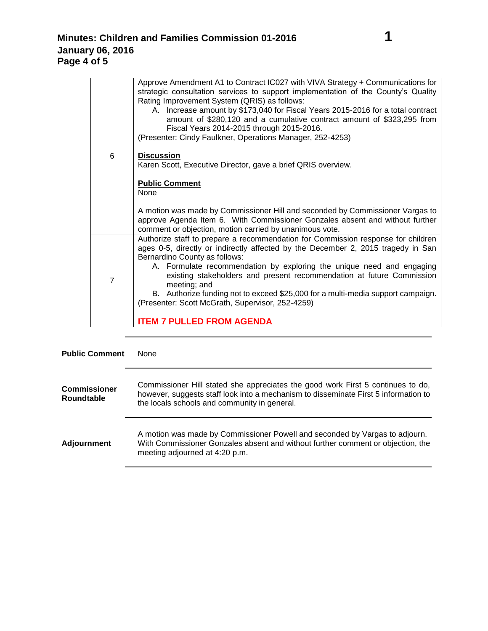|                | Approve Amendment A1 to Contract IC027 with VIVA Strategy + Communications for<br>strategic consultation services to support implementation of the County's Quality<br>Rating Improvement System (QRIS) as follows:<br>A. Increase amount by \$173,040 for Fiscal Years 2015-2016 for a total contract<br>amount of \$280,120 and a cumulative contract amount of \$323,295 from<br>Fiscal Years 2014-2015 through 2015-2016.<br>(Presenter: Cindy Faulkner, Operations Manager, 252-4253) |
|----------------|--------------------------------------------------------------------------------------------------------------------------------------------------------------------------------------------------------------------------------------------------------------------------------------------------------------------------------------------------------------------------------------------------------------------------------------------------------------------------------------------|
| 6              | <b>Discussion</b><br>Karen Scott, Executive Director, gave a brief QRIS overview.                                                                                                                                                                                                                                                                                                                                                                                                          |
|                | <b>Public Comment</b><br>None                                                                                                                                                                                                                                                                                                                                                                                                                                                              |
|                | A motion was made by Commissioner Hill and seconded by Commissioner Vargas to<br>approve Agenda Item 6. With Commissioner Gonzales absent and without further<br>comment or objection, motion carried by unanimous vote.                                                                                                                                                                                                                                                                   |
| $\overline{7}$ | Authorize staff to prepare a recommendation for Commission response for children<br>ages 0-5, directly or indirectly affected by the December 2, 2015 tragedy in San<br>Bernardino County as follows:                                                                                                                                                                                                                                                                                      |
|                | A. Formulate recommendation by exploring the unique need and engaging<br>existing stakeholders and present recommendation at future Commission<br>meeting; and                                                                                                                                                                                                                                                                                                                             |
|                | B. Authorize funding not to exceed \$25,000 for a multi-media support campaign.<br>(Presenter: Scott McGrath, Supervisor, 252-4259)                                                                                                                                                                                                                                                                                                                                                        |
|                | <b>ITEM 7 PULLED FROM AGENDA</b>                                                                                                                                                                                                                                                                                                                                                                                                                                                           |

**Public Comment** None **Commissioner Roundtable** Commissioner Hill stated she appreciates the good work First 5 continues to do, however, suggests staff look into a mechanism to disseminate First 5 information to the locals schools and community in general. **Adjournment** A motion was made by Commissioner Powell and seconded by Vargas to adjourn. With Commissioner Gonzales absent and without further comment or objection, the meeting adjourned at 4:20 p.m.